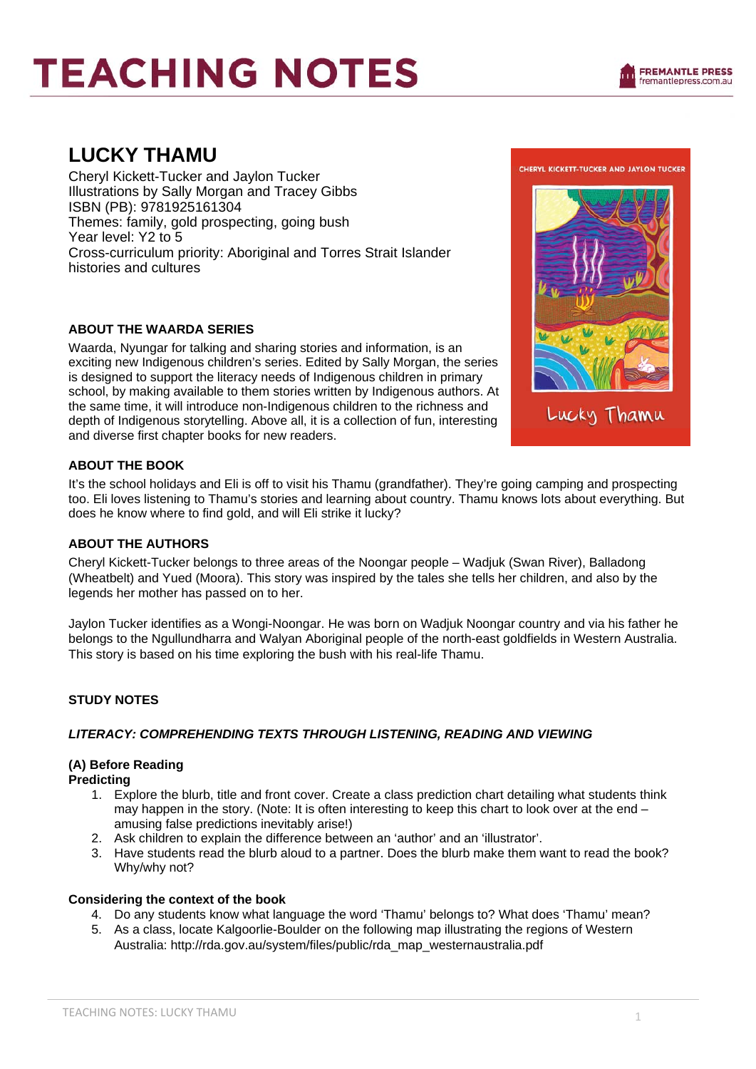### **LUCKY THAMU**

Cheryl Kickett-Tucker and Jaylon Tucker Illustrations by Sally Morgan and Tracey Gibbs ISBN (PB): 9781925161304 Themes: family, gold prospecting, going bush Year level: Y2 to 5 Cross-curriculum priority: Aboriginal and Torres Strait Islander histories and cultures

#### **ABOUT THE WAARDA SERIES**

Waarda, Nyungar for talking and sharing stories and information, is an exciting new Indigenous children's series. Edited by Sally Morgan, the series is designed to support the literacy needs of Indigenous children in primary school, by making available to them stories written by Indigenous authors. At the same time, it will introduce non-Indigenous children to the richness and depth of Indigenous storytelling. Above all, it is a collection of fun, interesting and diverse first chapter books for new readers.



#### **ABOUT THE BOOK**

It's the school holidays and Eli is off to visit his Thamu (grandfather). They're going camping and prospecting too. Eli loves listening to Thamu's stories and learning about country. Thamu knows lots about everything. But does he know where to find gold, and will Eli strike it lucky?

#### **ABOUT THE AUTHORS**

Cheryl Kickett-Tucker belongs to three areas of the Noongar people – Wadjuk (Swan River), Balladong (Wheatbelt) and Yued (Moora). This story was inspired by the tales she tells her children, and also by the legends her mother has passed on to her.

Jaylon Tucker identifies as a Wongi-Noongar. He was born on Wadjuk Noongar country and via his father he belongs to the Ngullundharra and Walyan Aboriginal people of the north-east goldfields in Western Australia. This story is based on his time exploring the bush with his real-life Thamu.

#### **STUDY NOTES**

#### *LITERACY: COMPREHENDING TEXTS THROUGH LISTENING, READING AND VIEWING*

#### **(A) Before Reading**

**Predicting** 

- 1. Explore the blurb, title and front cover. Create a class prediction chart detailing what students think may happen in the story. (Note: It is often interesting to keep this chart to look over at the end – amusing false predictions inevitably arise!)
- 2. Ask children to explain the difference between an 'author' and an 'illustrator'.
- 3. Have students read the blurb aloud to a partner. Does the blurb make them want to read the book? Why/why not?

#### **Considering the context of the book**

- 4. Do any students know what language the word 'Thamu' belongs to? What does 'Thamu' mean?
- 5. As a class, locate Kalgoorlie-Boulder on the following map illustrating the regions of Western Australia: http://rda.gov.au/system/files/public/rda\_map\_westernaustralia.pdf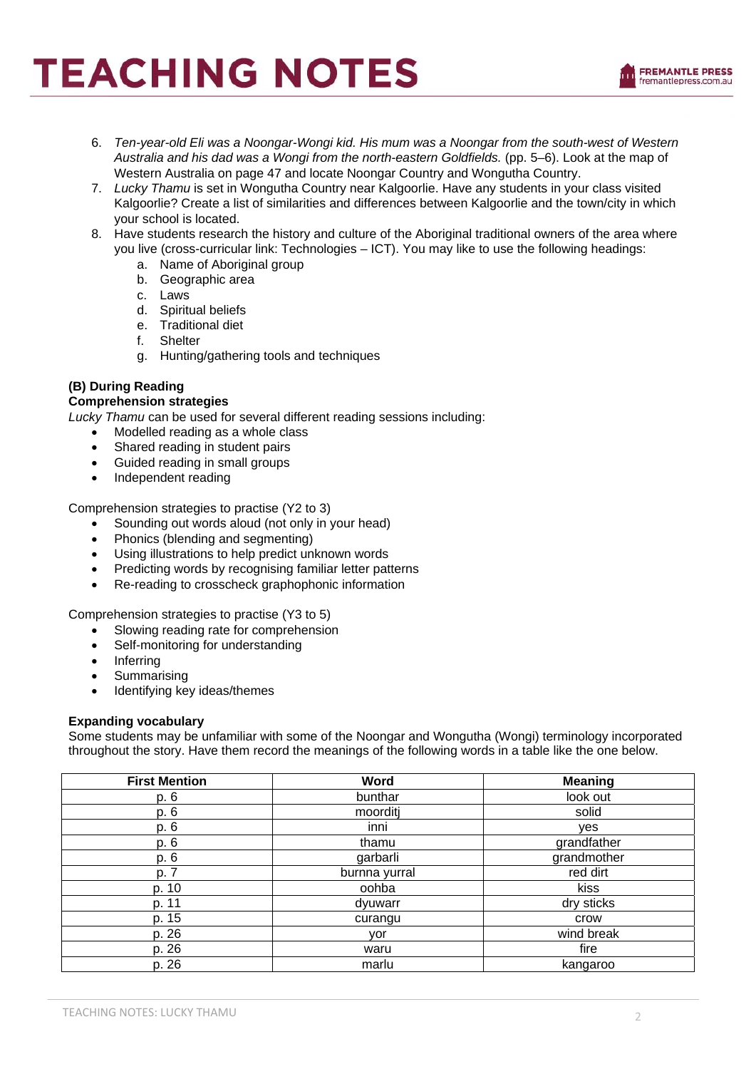- 6. *Ten-year-old Eli was a Noongar-Wongi kid. His mum was a Noongar from the south-west of Western Australia and his dad was a Wongi from the north-eastern Goldfields.* (pp. 5–6). Look at the map of Western Australia on page 47 and locate Noongar Country and Wongutha Country.
- 7. *Lucky Thamu* is set in Wongutha Country near Kalgoorlie. Have any students in your class visited Kalgoorlie? Create a list of similarities and differences between Kalgoorlie and the town/city in which your school is located.
- 8. Have students research the history and culture of the Aboriginal traditional owners of the area where you live (cross-curricular link: Technologies – ICT). You may like to use the following headings:
	- a. Name of Aboriginal group
	- b. Geographic area
	- c. Laws
	- d. Spiritual beliefs
	- e. Traditional diet
	- f. Shelter
	- g. Hunting/gathering tools and techniques

#### **(B) During Reading**

#### **Comprehension strategies**

*Lucky Thamu* can be used for several different reading sessions including:

- Modelled reading as a whole class
	- Shared reading in student pairs
	- Guided reading in small groups
- Independent reading

Comprehension strategies to practise (Y2 to 3)

- Sounding out words aloud (not only in your head)
- Phonics (blending and segmenting)
- Using illustrations to help predict unknown words
- Predicting words by recognising familiar letter patterns
- Re-reading to crosscheck graphophonic information

Comprehension strategies to practise (Y3 to 5)

- Slowing reading rate for comprehension
- Self-monitoring for understanding
- Inferring
- **Summarising**
- Identifying key ideas/themes

#### **Expanding vocabulary**

Some students may be unfamiliar with some of the Noongar and Wongutha (Wongi) terminology incorporated throughout the story. Have them record the meanings of the following words in a table like the one below.

| <b>First Mention</b> | Word          | <b>Meaning</b> |
|----------------------|---------------|----------------|
| p. 6                 | bunthar       | look out       |
| p. 6                 | moorditj      | solid          |
| p. 6                 | inni          | yes            |
| p. 6                 | thamu         | grandfather    |
| p. 6                 | garbarli      | grandmother    |
| p. 7                 | burnna yurral | red dirt       |
| p. 10                | oohba         | kiss           |
| p. 11                | dyuwarr       | dry sticks     |
| p. 15                | curangu       | crow           |
| p. 26                | yor           | wind break     |
| p. 26                | waru          | fire           |
| p. 26                | marlu         | kangaroo       |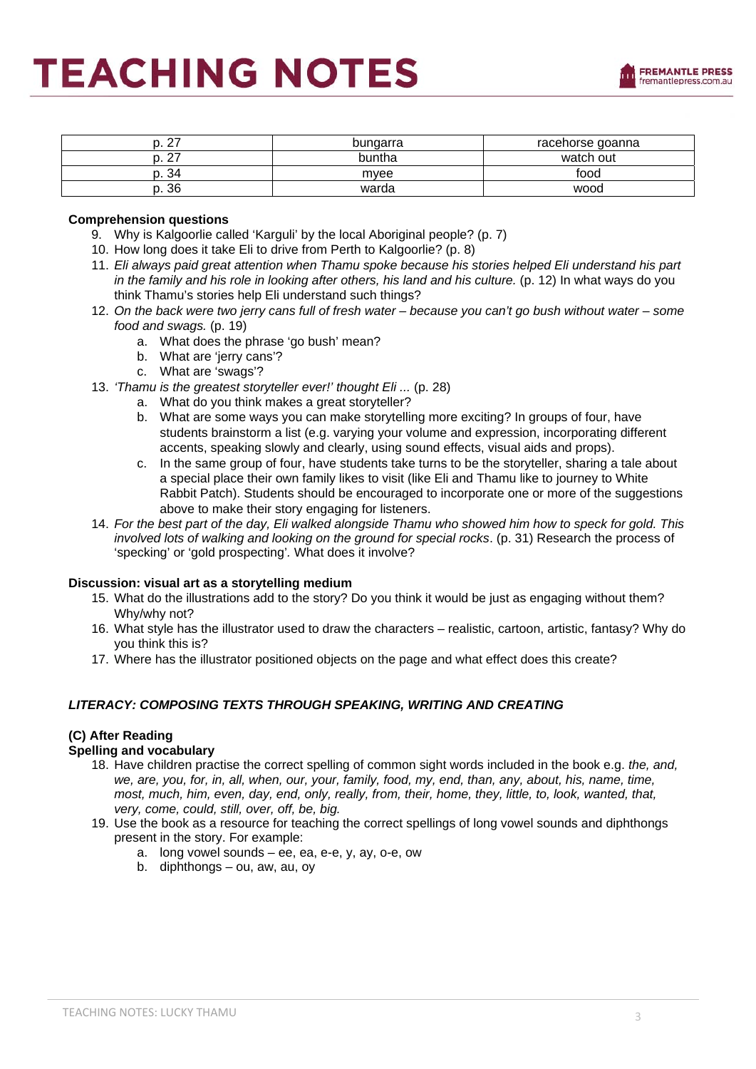

| ົ<br><u>_</u>      | bungarra | racehorse goanna |
|--------------------|----------|------------------|
| $\sim$<br><u>_</u> | buntha   | watch out        |
| . 34               | mvee     | food             |
| ρ. 36              | warda    | wood             |

#### **Comprehension questions**

- 9. Why is Kalgoorlie called 'Karguli' by the local Aboriginal people? (p. 7)
- 10. How long does it take Eli to drive from Perth to Kalgoorlie? (p. 8)
- 11. *Eli always paid great attention when Thamu spoke because his stories helped Eli understand his part in the family and his role in looking after others, his land and his culture.* (p. 12) In what ways do you think Thamu's stories help Eli understand such things?
- 12. *On the back were two jerry cans full of fresh water because you can't go bush without water some food and swags.* (p. 19)
	- a. What does the phrase 'go bush' mean?
	- b. What are 'jerry cans'?
	- c. What are 'swags'?
- 13. *'Thamu is the greatest storyteller ever!' thought Eli ...* (p. 28)
	- a. What do you think makes a great storyteller?
	- b. What are some ways you can make storytelling more exciting? In groups of four, have students brainstorm a list (e.g. varying your volume and expression, incorporating different accents, speaking slowly and clearly, using sound effects, visual aids and props).
	- c. In the same group of four, have students take turns to be the storyteller, sharing a tale about a special place their own family likes to visit (like Eli and Thamu like to journey to White Rabbit Patch). Students should be encouraged to incorporate one or more of the suggestions above to make their story engaging for listeners.
- 14. *For the best part of the day, Eli walked alongside Thamu who showed him how to speck for gold. This involved lots of walking and looking on the ground for special rocks*. (p. 31) Research the process of 'specking' or 'gold prospecting'*.* What does it involve?

#### **Discussion: visual art as a storytelling medium**

- 15. What do the illustrations add to the story? Do you think it would be just as engaging without them? Why/why not?
- 16. What style has the illustrator used to draw the characters realistic, cartoon, artistic, fantasy? Why do you think this is?
- 17. Where has the illustrator positioned objects on the page and what effect does this create?

#### *LITERACY: COMPOSING TEXTS THROUGH SPEAKING, WRITING AND CREATING*

#### **(C) After Reading**

#### **Spelling and vocabulary**

- 18. Have children practise the correct spelling of common sight words included in the book e.g. *the, and, we, are, you, for, in, all, when, our, your, family, food, my, end, than, any, about, his, name, time, most, much, him, even, day, end, only, really, from, their, home, they, little, to, look, wanted, that, very, come, could, still, over, off, be, big.*
- 19. Use the book as a resource for teaching the correct spellings of long vowel sounds and diphthongs present in the story. For example:
	- a. long vowel sounds ee, ea, e-e, y, ay, o-e, ow
	- b. diphthongs ou, aw, au, oy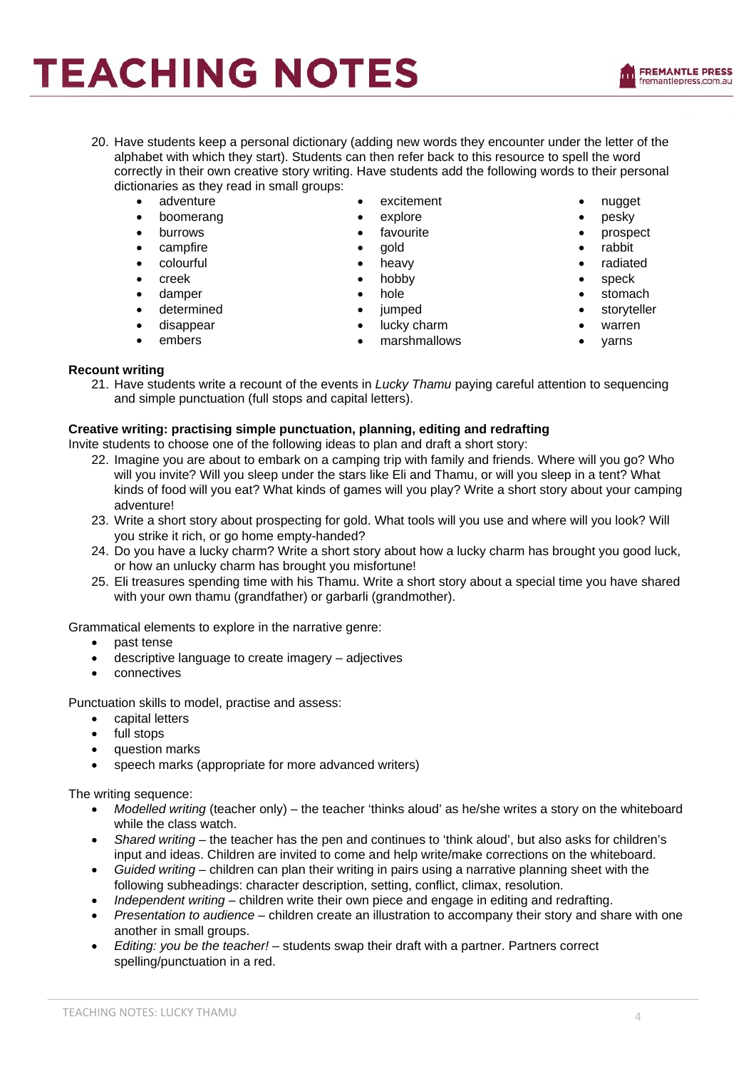- 20. Have students keep a personal dictionary (adding new words they encounter under the letter of the alphabet with which they start). Students can then refer back to this resource to spell the word correctly in their own creative story writing. Have students add the following words to their personal dictionaries as they read in small groups:
	- adventure
	- boomerang
	- burrows
	- campfire
	- colourful
	- creek
	- damper
	- determined
	- disappear
	- embers
- excitement
- explore
- favourite
- gold
- heavy
- hobby
- hole
- jumped
	- lucky charm
	- marshmallows
- nugget
- pesky
- prospect
- rabbit
- radiated
- speck
- stomach
- **storyteller**
- warren
- yarns
- 

#### **Recount writing**

21. Have students write a recount of the events in *Lucky Thamu* paying careful attention to sequencing and simple punctuation (full stops and capital letters).

#### **Creative writing: practising simple punctuation, planning, editing and redrafting**

Invite students to choose one of the following ideas to plan and draft a short story:

- 22. Imagine you are about to embark on a camping trip with family and friends. Where will you go? Who will you invite? Will you sleep under the stars like Eli and Thamu, or will you sleep in a tent? What kinds of food will you eat? What kinds of games will you play? Write a short story about your camping adventure!
- 23. Write a short story about prospecting for gold. What tools will you use and where will you look? Will you strike it rich, or go home empty-handed?
- 24. Do you have a lucky charm? Write a short story about how a lucky charm has brought you good luck, or how an unlucky charm has brought you misfortune!
- 25. Eli treasures spending time with his Thamu. Write a short story about a special time you have shared with your own thamu (grandfather) or garbarli (grandmother).

Grammatical elements to explore in the narrative genre:

- past tense
- descriptive language to create imagery adjectives
- connectives

Punctuation skills to model, practise and assess:

- capital letters
- full stops
- question marks
- speech marks (appropriate for more advanced writers)

The writing sequence:

- *Modelled writing* (teacher only) the teacher 'thinks aloud' as he/she writes a story on the whiteboard while the class watch.
- *Shared writing* the teacher has the pen and continues to 'think aloud', but also asks for children's input and ideas. Children are invited to come and help write/make corrections on the whiteboard.
- *Guided writing* children can plan their writing in pairs using a narrative planning sheet with the following subheadings: character description, setting, conflict, climax, resolution.
- *Independent writing* children write their own piece and engage in editing and redrafting.
- *Presentation to audience* children create an illustration to accompany their story and share with one another in small groups.
- *Editing: you be the teacher!* students swap their draft with a partner. Partners correct spelling/punctuation in a red.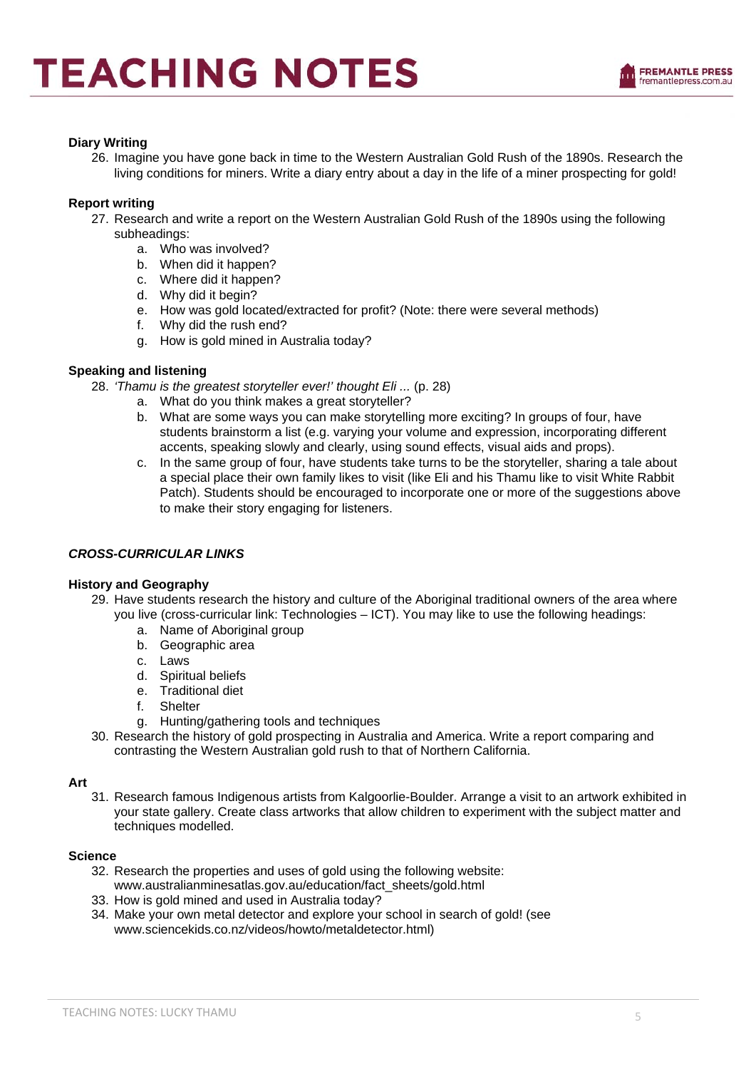

#### **Diary Writing**

26. Imagine you have gone back in time to the Western Australian Gold Rush of the 1890s. Research the living conditions for miners. Write a diary entry about a day in the life of a miner prospecting for gold!

#### **Report writing**

- 27. Research and write a report on the Western Australian Gold Rush of the 1890s using the following subheadings:
	- a. Who was involved?
	- b. When did it happen?
	- c. Where did it happen?
	- d. Why did it begin?
	- e. How was gold located/extracted for profit? (Note: there were several methods)
	- f. Why did the rush end?
	- g. How is gold mined in Australia today?

#### **Speaking and listening**

- 28. *'Thamu is the greatest storyteller ever!' thought Eli ...* (p. 28)
	- a. What do you think makes a great storyteller?
	- b. What are some ways you can make storytelling more exciting? In groups of four, have students brainstorm a list (e.g. varying your volume and expression, incorporating different accents, speaking slowly and clearly, using sound effects, visual aids and props).
	- c. In the same group of four, have students take turns to be the storyteller, sharing a tale about a special place their own family likes to visit (like Eli and his Thamu like to visit White Rabbit Patch). Students should be encouraged to incorporate one or more of the suggestions above to make their story engaging for listeners.

#### *CROSS-CURRICULAR LINKS*

#### **History and Geography**

- 29. Have students research the history and culture of the Aboriginal traditional owners of the area where you live (cross-curricular link: Technologies – ICT). You may like to use the following headings:
	- a. Name of Aboriginal group
	- b. Geographic area
	- c. Laws
	- d. Spiritual beliefs
	- e. Traditional diet
	- f. Shelter
	- g. Hunting/gathering tools and techniques
- 30. Research the history of gold prospecting in Australia and America. Write a report comparing and contrasting the Western Australian gold rush to that of Northern California.

#### **Art**

31. Research famous Indigenous artists from Kalgoorlie-Boulder. Arrange a visit to an artwork exhibited in your state gallery. Create class artworks that allow children to experiment with the subject matter and techniques modelled.

#### **Science**

- 32. Research the properties and uses of gold using the following website: www.australianminesatlas.gov.au/education/fact\_sheets/gold.html
- 33. How is gold mined and used in Australia today?
- 34. Make your own metal detector and explore your school in search of gold! (see www.sciencekids.co.nz/videos/howto/metaldetector.html)